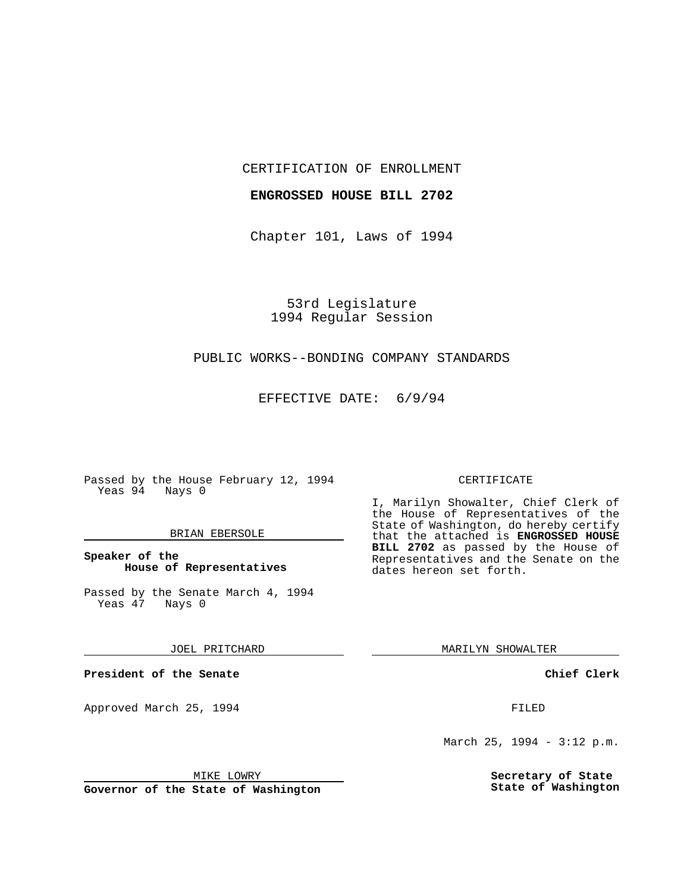CERTIFICATION OF ENROLLMENT

### **ENGROSSED HOUSE BILL 2702**

Chapter 101, Laws of 1994

53rd Legislature 1994 Regular Session

# PUBLIC WORKS--BONDING COMPANY STANDARDS

EFFECTIVE DATE: 6/9/94

Passed by the House February 12, 1994 Yeas 94 Nays 0

#### BRIAN EBERSOLE

### **Speaker of the House of Representatives**

Passed by the Senate March 4, 1994<br>Yeas 47 Nays 0 Yeas 47

JOEL PRITCHARD

**President of the Senate**

Approved March 25, 1994 **FILED** 

# CERTIFICATE

I, Marilyn Showalter, Chief Clerk of the House of Representatives of the State of Washington, do hereby certify that the attached is **ENGROSSED HOUSE BILL 2702** as passed by the House of Representatives and the Senate on the dates hereon set forth.

MARILYN SHOWALTER

**Chief Clerk**

March 25, 1994 - 3:12 p.m.

**Secretary of State State of Washington**

MIKE LOWRY

**Governor of the State of Washington**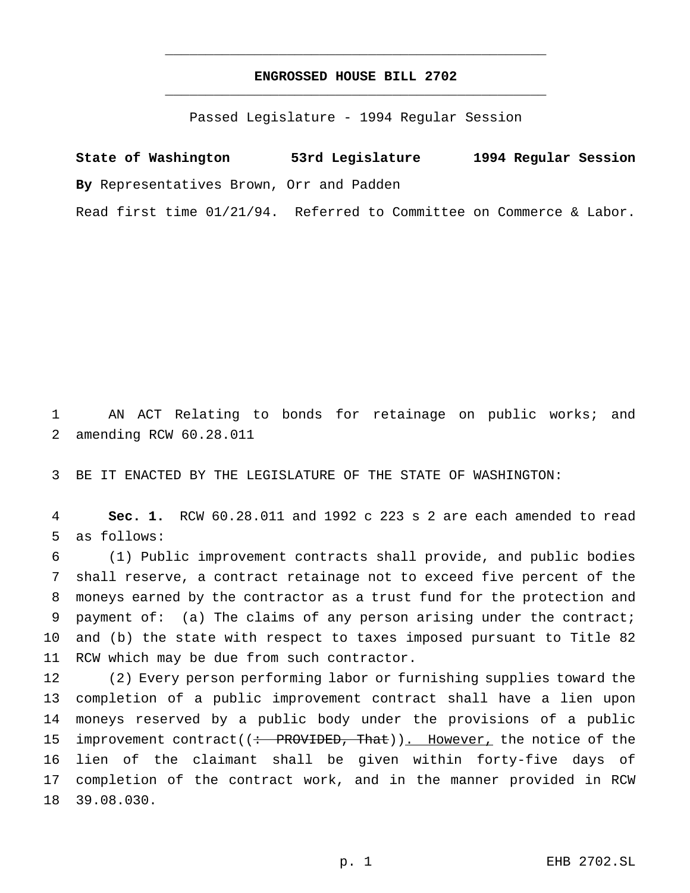# **ENGROSSED HOUSE BILL 2702** \_\_\_\_\_\_\_\_\_\_\_\_\_\_\_\_\_\_\_\_\_\_\_\_\_\_\_\_\_\_\_\_\_\_\_\_\_\_\_\_\_\_\_\_\_\_\_

\_\_\_\_\_\_\_\_\_\_\_\_\_\_\_\_\_\_\_\_\_\_\_\_\_\_\_\_\_\_\_\_\_\_\_\_\_\_\_\_\_\_\_\_\_\_\_

Passed Legislature - 1994 Regular Session

**State of Washington 53rd Legislature 1994 Regular Session By** Representatives Brown, Orr and Padden

Read first time 01/21/94. Referred to Committee on Commerce & Labor.

 AN ACT Relating to bonds for retainage on public works; and amending RCW 60.28.011

BE IT ENACTED BY THE LEGISLATURE OF THE STATE OF WASHINGTON:

 **Sec. 1.** RCW 60.28.011 and 1992 c 223 s 2 are each amended to read as follows:

 (1) Public improvement contracts shall provide, and public bodies shall reserve, a contract retainage not to exceed five percent of the moneys earned by the contractor as a trust fund for the protection and payment of: (a) The claims of any person arising under the contract; and (b) the state with respect to taxes imposed pursuant to Title 82 RCW which may be due from such contractor.

 (2) Every person performing labor or furnishing supplies toward the completion of a public improvement contract shall have a lien upon moneys reserved by a public body under the provisions of a public 15 improvement contract((: PROVIDED, That)). However, the notice of the lien of the claimant shall be given within forty-five days of completion of the contract work, and in the manner provided in RCW 39.08.030.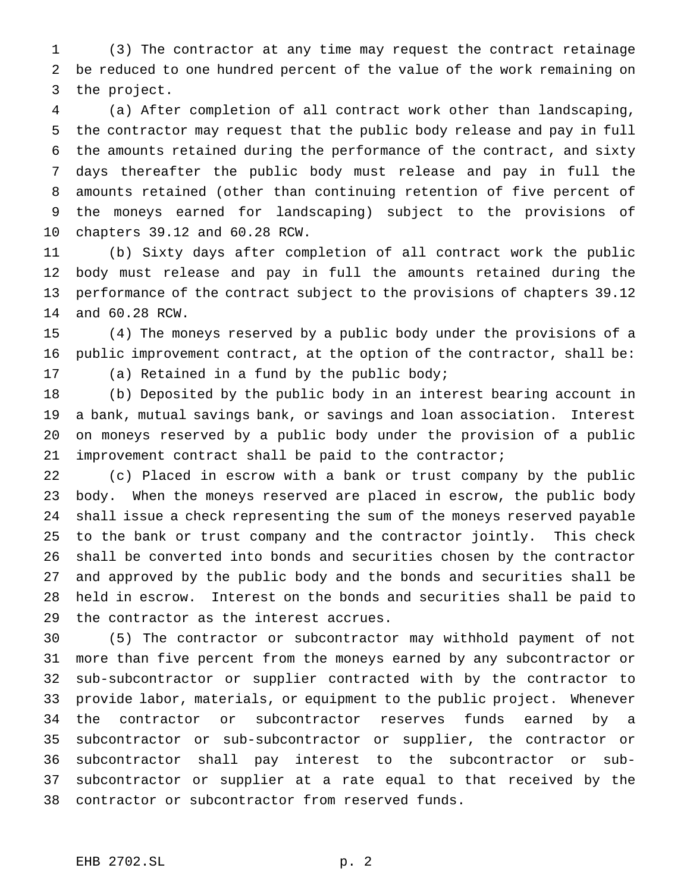(3) The contractor at any time may request the contract retainage be reduced to one hundred percent of the value of the work remaining on the project.

 (a) After completion of all contract work other than landscaping, the contractor may request that the public body release and pay in full the amounts retained during the performance of the contract, and sixty days thereafter the public body must release and pay in full the amounts retained (other than continuing retention of five percent of the moneys earned for landscaping) subject to the provisions of chapters 39.12 and 60.28 RCW.

 (b) Sixty days after completion of all contract work the public body must release and pay in full the amounts retained during the performance of the contract subject to the provisions of chapters 39.12 and 60.28 RCW.

 (4) The moneys reserved by a public body under the provisions of a public improvement contract, at the option of the contractor, shall be: (a) Retained in a fund by the public body;

 (b) Deposited by the public body in an interest bearing account in a bank, mutual savings bank, or savings and loan association. Interest on moneys reserved by a public body under the provision of a public improvement contract shall be paid to the contractor;

 (c) Placed in escrow with a bank or trust company by the public body. When the moneys reserved are placed in escrow, the public body shall issue a check representing the sum of the moneys reserved payable to the bank or trust company and the contractor jointly. This check shall be converted into bonds and securities chosen by the contractor and approved by the public body and the bonds and securities shall be held in escrow. Interest on the bonds and securities shall be paid to the contractor as the interest accrues.

 (5) The contractor or subcontractor may withhold payment of not more than five percent from the moneys earned by any subcontractor or sub-subcontractor or supplier contracted with by the contractor to provide labor, materials, or equipment to the public project. Whenever the contractor or subcontractor reserves funds earned by a subcontractor or sub-subcontractor or supplier, the contractor or subcontractor shall pay interest to the subcontractor or sub- subcontractor or supplier at a rate equal to that received by the contractor or subcontractor from reserved funds.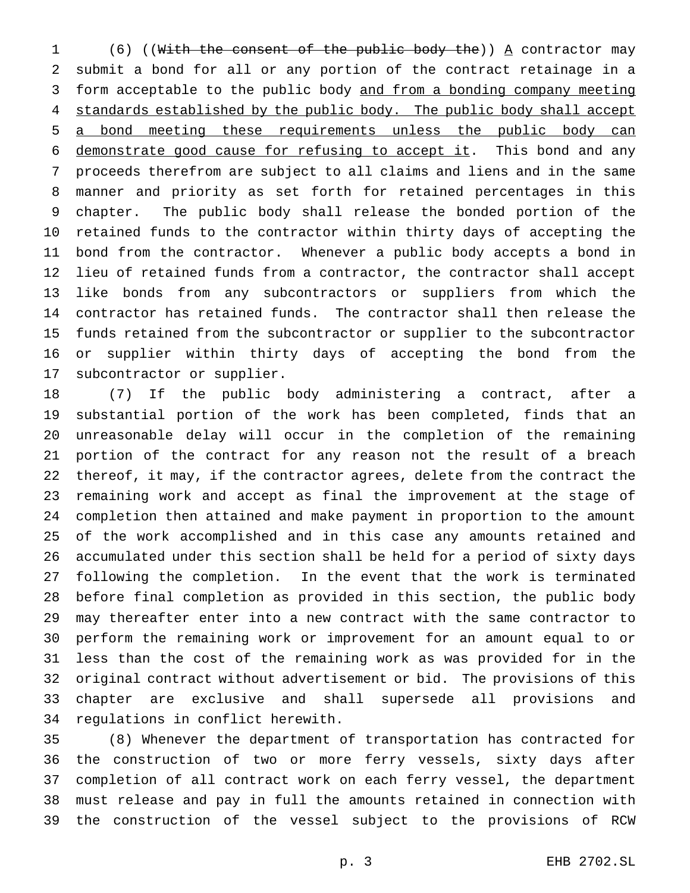1 (6) ((With the consent of the public body the))  $\Delta$  contractor may submit a bond for all or any portion of the contract retainage in a form acceptable to the public body and from a bonding company meeting 4 standards established by the public body. The public body shall accept a bond meeting these requirements unless the public body can 6 demonstrate good cause for refusing to accept it. This bond and any proceeds therefrom are subject to all claims and liens and in the same manner and priority as set forth for retained percentages in this chapter. The public body shall release the bonded portion of the retained funds to the contractor within thirty days of accepting the bond from the contractor. Whenever a public body accepts a bond in lieu of retained funds from a contractor, the contractor shall accept like bonds from any subcontractors or suppliers from which the contractor has retained funds. The contractor shall then release the funds retained from the subcontractor or supplier to the subcontractor or supplier within thirty days of accepting the bond from the subcontractor or supplier.

 (7) If the public body administering a contract, after a substantial portion of the work has been completed, finds that an unreasonable delay will occur in the completion of the remaining portion of the contract for any reason not the result of a breach thereof, it may, if the contractor agrees, delete from the contract the remaining work and accept as final the improvement at the stage of completion then attained and make payment in proportion to the amount of the work accomplished and in this case any amounts retained and accumulated under this section shall be held for a period of sixty days following the completion. In the event that the work is terminated before final completion as provided in this section, the public body may thereafter enter into a new contract with the same contractor to perform the remaining work or improvement for an amount equal to or less than the cost of the remaining work as was provided for in the original contract without advertisement or bid. The provisions of this chapter are exclusive and shall supersede all provisions and regulations in conflict herewith.

 (8) Whenever the department of transportation has contracted for the construction of two or more ferry vessels, sixty days after completion of all contract work on each ferry vessel, the department must release and pay in full the amounts retained in connection with the construction of the vessel subject to the provisions of RCW